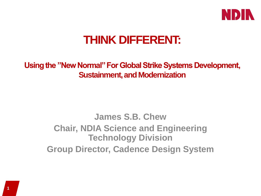

## **THINK DIFFERENT:**

**Using the "New Normal" For Global Strike Systems Development, Sustainment, and Modernization**

> **James S.B. Chew Chair, NDIA Science and Engineering Technology Division Group Director, Cadence Design System**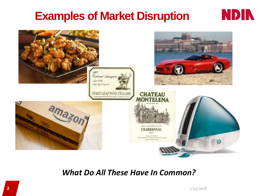### **Examples of Market Disruption**



### *What Do All These Have In Common?*

**NDIN**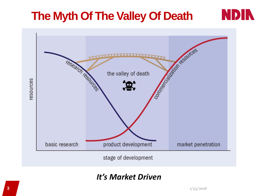## **The Myth Of The Valley Of Death**



### *It's Market Driven*

**ND**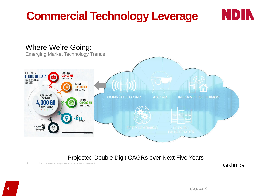## **Commercial Technology Leverage**



#### Projected Double Digit CAGRs over Next Five Years

6 © 2017 Cadence Design Systems, Inc. All rights reserved.

cādence

**NDIN**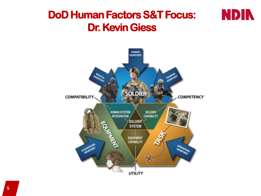### **DoD Human Factors S&T Focus: Dr. Kevin Giess**



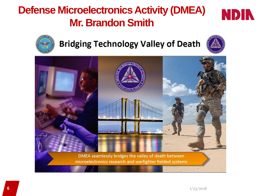## **Defense Microelectronics Activity (DMEA) Mr. Brandon Smith**





### **Bridging Technology Valley of Death**



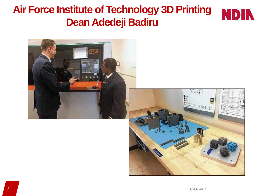### **Air Force Institute of Technology 3D Printing Dean Adedeji Badiru**





įσ

 $B_{644.1}$